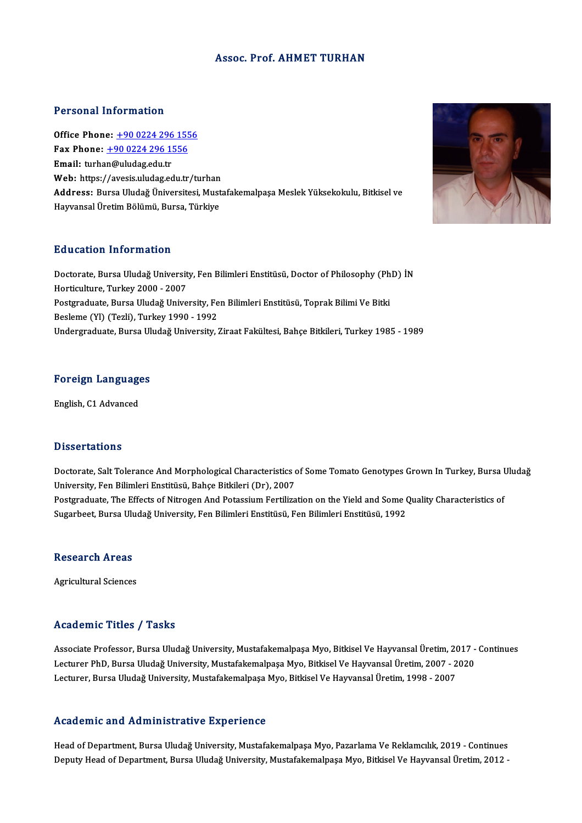#### Assoc. Prof. AHMET TURHAN

#### Personal Information

**Personal Information<br>Office Phone: +90 0224 296 1556<br>Fax Phone: +90 0224 296 1556** Fax Phone: <u>+90 0224 296 155</u><br>Fax Phone: <u>+90 0224 296 1556</u><br>Fmail: turban@uludag.edu.tr Office Phone: <u>+90 0224 296</u><br>Fax Phone: <u>+90 0224 296 1!</u><br>Email: turha[n@uludag.edu.tr](tel:+90 0224 296 1556) Fax Phone:  $\pm$ 90 0224 296 1556<br>Email: turhan@uludag.edu.tr<br>Web: https://avesis.uludag.edu.tr/turhan Address: Bursa Uludağ Üniversitesi, Mustafakemalpaşa Meslek Yüksekokulu, Bitkisel ve Hayvansal Üretim Bölümü, Bursa, Türkiye

#### Education Information

Doctorate, Bursa Uludağ University, Fen Bilimleri Enstitüsü, Doctor of Philosophy (PhD) İN Horticulture, Turkey 2000 - 2007 Doctorate, Bursa Uludağ University, Fen Bilimleri Enstitüsü, Doctor of Philosophy (Ph<br>Horticulture, Turkey 2000 - 2007<br>Postgraduate, Bursa Uludağ University, Fen Bilimleri Enstitüsü, Toprak Bilimi Ve Bitki<br>Beslame (VL) (Te Horticulture, Turkey 2000 - 2007<br>Postgraduate, Bursa Uludağ University, Fe<br>Besleme (Yl) (Tezli), Turkey 1990 - 1992<br>Undergraduate, Bursa Uludağ University Besleme (Yl) (Tezli), Turkey 1990 - 1992<br>Undergraduate, Bursa Uludağ University, Ziraat Fakültesi, Bahçe Bitkileri, Turkey 1985 - 1989

# Foreign Languages <mark>Foreign Languag</mark>e<br>English, C1 Advanced

English, C1 Advanced<br>Dissertations

Dissertations<br>Doctorate, Salt Tolerance And Morphological Characteristics of Some Tomato Genotypes Grown In Turkey, Bursa Uludağ<br>University, Fon Bilimleri Enstitüsü, Pahae Bitkileri (Dr.), 2007 University, Fen Bilimleri Enstitüsü, Bahçe Bitkileri (Dr), 2007<br>Postgraduate, The Effects of Nitrogen And Potassium Fertilization on the Yield and Some Quality Characteristics of Doctorate, Salt Tolerance And Morphological Characteristics of Some Tomato Genotypes Grown In Turkey, Bursa l<br>University, Fen Bilimleri Enstitüsü, Bahçe Bitkileri (Dr), 2007<br>Postgraduate, The Effects of Nitrogen And Potass Sugarbeet, Bursa Uludağ University, Fen Bilimleri Enstitüsü, Fen Bilimleri Enstitüsü, 1992

#### **Research Areas**

Agricultural Sciences

#### Academic Titles / Tasks

Academic Titles / Tasks<br>Associate Professor, Bursa Uludağ University, Mustafakemalpaşa Myo, Bitkisel Ve Hayvansal Üretim, 2017 - Continues<br>Lecturer PhD, Bursa Uludağ University, Mustafakemalpasa Myo, Bitkisel Ve Hayvansal Lecturer Preses y Prusses<br>Associate Professor, Bursa Uludağ University, Mustafakemalpaşa Myo, Bitkisel Ve Hayvansal Üretim, 2017 -<br>Lecturer PhD, Bursa Uludağ University, Mustafakemalpaşa Myo, Bitkisel Ve Hayvansal Üretim, Lecturer PhD, Bursa Uludağ University, Mustafakemalpaşa Myo, Bitkisel Ve Hayvansal Üretim, 2007 - 2020<br>Lecturer, Bursa Uludağ University, Mustafakemalpaşa Myo, Bitkisel Ve Hayvansal Üretim, 1998 - 2007

#### Academic and Administrative Experience

Head of Department, Bursa Uludağ University, Mustafakemalpaşa Myo, Pazarlama Ve Reklamcılık, 2019 - Continues Deputy Head of Department, Bursa Uludağ University, Mustafakemalpaşa Myo, Bitkisel Ve Hayvansal Üretim, 2012 -

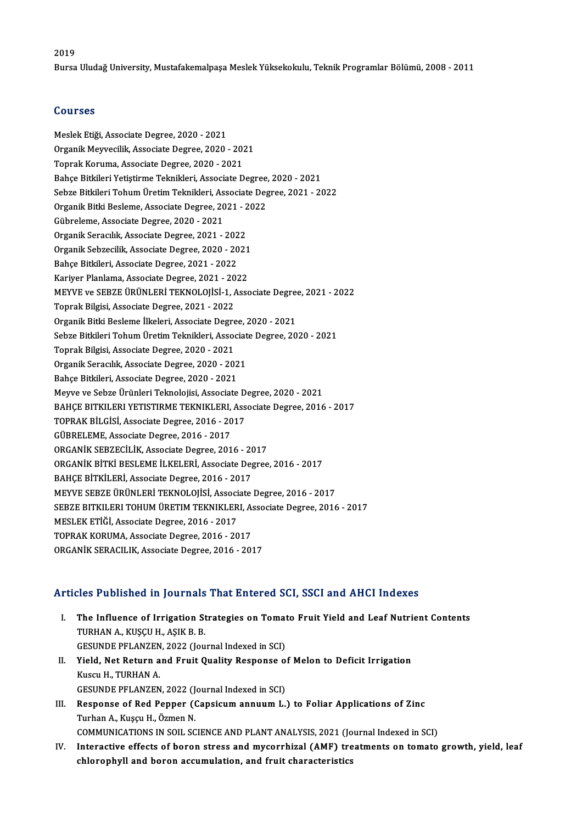#### 2019

Bursa Uludağ University, Mustafakemalpaşa Meslek Yüksekokulu, Teknik Programlar Bölümü, 2008 - 2011

#### Courses

Meslek Etiği, Associate Degree, 2020 - 2021 Oourbos<br>Meslek Etiği, Associate Degree, 2020 - 2021<br>Organik Meyvecilik, Associate Degree, 2020 - 2021<br>Tenrek Koruma, Associate Degree, 2020, 2021 Meslek Etiği, Associate Degree, 2020 - 2021<br>Organik Meyvecilik, Associate Degree, 2020 - 202<br>Toprak Koruma, Associate Degree, 2020 - 2021<br>Pahee Bitkileri Vetistirme Telmikleri, Associate D Toprak Koruma, Associate Degree, 2020 - 2021<br>Bahce Bitkileri Yetistirme Teknikleri, Associate Degree, 2020 - 2021 Toprak Koruma, Associate Degree, 2020 - 2021<br>Bahçe Bitkileri Yetiştirme Teknikleri, Associate Degree, 2020 - 2021<br>Sebze Bitkileri Tohum Üretim Teknikleri, Associate Degree, 2021 - 2022<br>Organik Bitki Beclame, Associate Degr Bahçe Bitkileri Yetiştirme Teknikleri, Associate Degree,<br>Sebze Bitkileri Tohum Üretim Teknikleri, Associate Deg<br>Organik Bitki Besleme, Associate Degree, 2021 - 2022<br>Cührelame, Associate Degree, 2020, 2021 Sebze Bitkileri Tohum Üretim Teknikleri, As<br>Organik Bitki Besleme, Associate Degree, 20<br>Gübreleme, Associate Degree, 2020 - 2021<br>Organik Seregikk, Associate Degree, 2021 Organik Bitki Besleme, Associate Degree, 2021 - 2<br>Gübreleme, Associate Degree, 2020 - 2021<br>Organik Seracılık, Associate Degree, 2021 - 2022<br>Organik Sebresilik, Associate Degree, 2020 - 2022 Gübreleme, Associate Degree, 2020 - 2021<br>Organik Seracılık, Associate Degree, 2021 - 2022<br>Organik Sebzecilik, Associate Degree, 2020 - 2021<br>Pahas Pitkilari, Associate Degree, 2021 - 2022 Organik Seracılık, Associate Degree, 2021 - 2022<br>Organik Sebzecilik, Associate Degree, 2020 - 2021<br>Bahçe Bitkileri, Associate Degree, 2021 - 2022<br>Kariyer Planlama, Associate Degree, 2021 - 2022 Organik Sebzecilik, Associate Degree, 2020 - 2021<br>Bahçe Bitkileri, Associate Degree, 2021 - 2022<br>Kariyer Planlama, Associate Degree, 2021 - 2022<br>MEWLE ve SERZE ÜDÜNLEDİ TEKNOLOUSİ 1. Asso Bahçe Bitkileri, Associate Degree, 2021 - 2022<br>Kariyer Planlama, Associate Degree, 2021 - 2022<br>MEYVE ve SEBZE ÜRÜNLERİ TEKNOLOJİSİ-1, Associate Degree, 2021 - 2022<br>Tenrek Bilgisi, Associate Degree, 2021 - 2022 Kariyer Planlama, Associate Degree, 2021 - 20<br>MEYVE ve SEBZE ÜRÜNLERİ TEKNOLOJİSİ-1, *A*<br>Toprak Bilgisi, Associate Degree, 2021 - 2022<br>Organik Bitli Beslama İlkalari, Associate Degre MEYVE ve SEBZE ÜRÜNLERİ TEKNOLOJİSİ-1, Associate Degree<br>Toprak Bilgisi, Associate Degree, 2021 - 2022<br>Organik Bitki Besleme İlkeleri, Associate Degree, 2020 - 2021<br>Sebre Bitkileri Tobum Üretim Teknikleri, Associate Degree, Toprak Bilgisi, Associate Degree, 2021 - 2022<br>Organik Bitki Besleme İlkeleri, Associate Degree, 2020 - 2021<br>Sebze Bitkileri Tohum Üretim Teknikleri, Associate Degree, 2020 - 2021<br>Tonrak Bilgisi, Associate Degree, 2020, 202 Organik Bitki Besleme İlkeleri, Associate Degree, 2020 - 2021<br>Sebze Bitkileri Tohum Üretim Teknikleri, Associate Degree, 20<br>Toprak Bilgisi, Associate Degree, 2020 - 2021 Sebze Bitkileri Tohum Üretim Teknikleri, Associat<br>Toprak Bilgisi, Associate Degree, 2020 - 2021<br>Organik Seracılık, Associate Degree, 2020 - 2021<br>Pahea Bitkileri, Associate Degree, 2020 - 2021 Organik Seracılık, Associate Degree, 2020 - 2021<br>Bahçe Bitkileri, Associate Degree, 2020 - 2021 Meyve ve Sebze Ürünleri Teknolojisi, Associate Degree, 2020 - 2021 BAHÇE BITKILERI YETISTIRME TEKNIKLERI, Associate Degree, 2016 - 2017 Meyve ve Sebze Ürünleri Teknolojisi, Associate D<br>BAHÇE BITKILERI YETISTIRME TEKNIKLERI, Ass<br>TOPRAK BİLGİSİ, Associate Degree, 2016 - 2017<br>CÜPPELEME, Associate Degree, 2016 - 2017 BAHÇE BITKILERI YETISTIRME TEKNIKLERI,<br>TOPRAK BİLGİSİ, Associate Degree, 2016 - 20<br>GÜBRELEME, Associate Degree, 2016 - 2017<br>OPCANİK SERZECİLİK, Associate Degree, 201 TOPRAK BİLGİSİ, Associate Degree, 2016 - 2017<br>GÜBRELEME, Associate Degree, 2016 - 2017<br>ORGANİK SEBZECİLİK, Associate Degree, 2016 - 2017<br>ORGANİK BİTKİ BESLEME İLKELERİ, Associate Degree GÜBRELEME, Associate Degree, 2016 - 2017<br>ORGANİK SEBZECİLİK, Associate Degree, 2016 - 2017<br>ORGANİK BİTKİ BESLEME İLKELERİ, Associate Degree, 2016 - 2017<br>BAHÇE BİTKİLERİ, Associate Degree, 2016 - 2017 ORGANİK SEBZECİLİK, Associate Degree, 2016 - 20<br>ORGANİK BİTKİ BESLEME İLKELERİ, Associate De<sub>j</sub><br>BAHÇE BİTKİLERİ, Associate Degree, 2016 - 2017<br>MEYVE SERZE ÜDÜNI ERİ TEKNOLOUSL ASSOCIAT ORGANİK BİTKİ BESLEME İLKELERİ, Associate Degree, 2016 - 2017<br>BAHÇE BİTKİLERİ, Associate Degree, 2016 - 2017<br>MEYVE SEBZE ÜRÜNLERİ TEKNOLOJİSİ, Associate Degree, 2016 - 2017<br>SEBZE BITKU ERLTOUIM ÜRETIM TEKNIKLERL ASSOCIATA BAHÇE BİTKİLERİ, Associate Degree, 2016 - 2017<br>MEYVE SEBZE ÜRÜNLERİ TEKNOLOJİSİ, Associate Degree, 2016 - 2017<br>SEBZE BITKILERI TOHUM ÜRETIM TEKNIKLERI, Associate Degree, 2016 - 2017<br>MESLEK ETİĞİ, Associate Degree, 2016 - 2 MEYVE SEBZE ÜRÜNLERİ TEKNOLOJİSİ, Associ<br>SEBZE BITKILERI TOHUM ÜRETIM TEKNIKLER<br>MESLEK ETİĞİ, Associate Degree, 2016 - 2017<br>TOPPAK KOBUMA, Associate Degree, 2016 - 20 SEBZE BITKILERI TOHUM ÜRETIM TEKNIKLERI, A:<br>MESLEK ETİĞİ, Associate Degree, 2016 - 2017<br>TOPRAK KORUMA, Associate Degree, 2016 - 2017<br>OPCANİK SERACU IK. Associate Degree, 2016 - 2017 MESLEK ETİĞİ, Associate Degree, 2016 - 2017<br>TOPRAK KORUMA, Associate Degree, 2016 - 2017<br>ORGANİK SERACILIK, Associate Degree, 2016 - 2017

#### Articles Published in Journals That Entered SCI, SSCI and AHCI Indexes

- Tricles Published in Journals That Entered SCI, SSCI and AHCI Indexes<br>I. The Influence of Irrigation Strategies on Tomato Fruit Yield and Leaf Nutrient Contents<br>TIBHAN A. KISCU H. ASIK B. B. THE Influence of Irrigation St.<br>TURHAN A., KUŞÇU H., AŞIK B. B.<br>GESUNDE PELANZEN 2022 (LOU The Influence of Irrigation Strategies on Tomat<br>TURHAN A., KUŞÇU H., AŞIK B. B.<br>GESUNDE PFLANZEN, 2022 (Journal Indexed in SCI)<br>Vield, Net Beturn and Enuit Quelity Besnense e. TURHAN A., KUŞÇU H., AŞIK B. B.<br>GESUNDE PFLANZEN, 2022 (Journal Indexed in SCI)<br>II. Yield, Net Return and Fruit Quality Response of Melon to Deficit Irrigation<br>Kuscu H., TURHAN A.
- GESUNDE PFLANZEN<br>Yield, Net Return a<br>Kuscu H., TURHAN A.<br>CESUNDE PELANZEN Yield, Net Return and Fruit Quality Response of<br>Kuscu H., TURHAN A.<br>GESUNDE PFLANZEN, 2022 (Journal Indexed in SCI)<br>Besponse of Bed Benner (Gensisum annuum L.) Kuscu H., TURHAN A.<br>GESUNDE PFLANZEN, 2022 (Journal Indexed in SCI)<br>III. Response of Red Pepper (Capsicum annuum L.) to Foliar Applications of Zinc<br>Turban A. Kussu H. Özman N.
- GESUNDE PFLANZEN, 2022 (J.<br>Response of Red Pepper (<br>Turhan A., Kuşçu H., Özmen N.<br>COMMUNICATIONS IN SOU, SC Response of Red Pepper (Capsicum annuum L.) to Foliar Applications of Zinc<br>Turhan A., Kuşçu H., Özmen N.<br>COMMUNICATIONS IN SOIL SCIENCE AND PLANT ANALYSIS, 2021 (Journal Indexed in SCI)<br>Interactive effects of benen stress COMMUNICATIONS IN SOIL SCIENCE AND PLANT ANALYSIS, 2021 (Journal Indexed in SCI)
- Iurhan A., Kuşçu H., Özmen N.<br>COMMUNICATIONS IN SOIL SCIENCE AND PLANT ANALYSIS, 2021 (Journal Indexed in SCI)<br>IV. Interactive effects of boron stress and mycorrhizal (AMF) treatments on tomato growth, yield, leaf<br>chloroph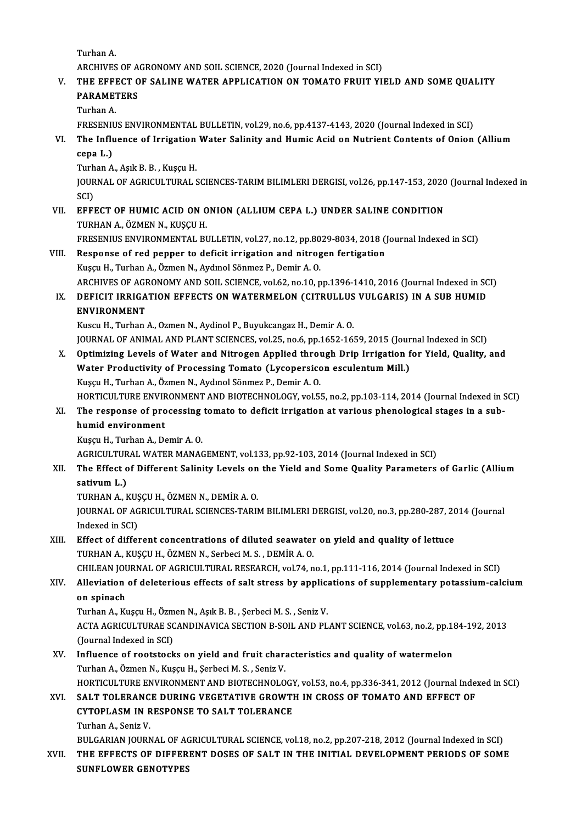TurhanA.

Turhan A.<br>ARCHIVES OF AGRONOMY AND SOIL SCIENCE, 2020 (Journal Indexed in SCI)<br>THE FEFECT OF SALINE WATER APPLICATION ON TOMATO EPIUT VI.

## Turhan A.<br>ARCHIVES OF AGRONOMY AND SOIL SCIENCE, 2020 (Journal Indexed in SCI)<br>V. THE EFFECT OF SALINE WATER APPLICATION ON TOMATO FRUIT YIELD AND SOME QUALITY<br>RARAMETERS ARCHIVES OF A<br>THE EFFECT O<br>PARAMETERS<br>Turban A THE EFFI<br>PARAMET<br>Turhan A.<br>EPESENIU

PARAMETERS<br>Turhan A.<br>FRESENIUS ENVIRONMENTAL BULLETIN, vol.29, no.6, pp.4137-4143, 2020 (Journal Indexed in SCI)

## Turhan A.<br>FRESENIUS ENVIRONMENTAL BULLETIN, vol.29, no.6, pp.4137-4143, 2020 (Journal Indexed in SCI)<br>VI. The Influence of Irrigation Water Salinity and Humic Acid on Nutrient Contents of Onion (Allium<br>2003 J.) FRESENII<br>The Influ<br>cepa L.)<br>Turban A The Influence of Irrigation<br>cepa L.)<br>Turhan A., Aşık B. B. , Kuşçu H.<br>JOUPMAL OE ACRICULTIPAL S

cepa L.)<br>Turhan A., Aşık B. B. , Kuşçu H.<br>JOURNAL OF AGRICULTURAL SCIENCES-TARIM BILIMLERI DERGISI, vol.26, pp.147-153, 2020 (Journal Indexed in<br>SCD Turh<br>JOUR<br>SCI)<br>EEEI JOURNAL OF AGRICULTURAL SCIENCES-TARIM BILIMLERI DERGISI, vol.26, pp.147-153, 2020<br>SCI)<br>VII. EFFECT OF HUMIC ACID ON ONION (ALLIUM CEPA L.) UNDER SALINE CONDITION<br>TIPHAN A ÖZMEN NUKISCI H

SCI)<br>VII. EFFECT OF HUMIC ACID ON ONION (ALLIUM CEPA L.) UNDER SALINE CONDITION<br>TURHAN A., ÖZMEN N., KUŞÇU H. EFFECT OF HUMIC ACID ON ONION (ALLIUM CEPA L.) UNDER SALINE CONDITION<br>TURHAN A., ÖZMEN N., KUŞÇU H.<br>FRESENIUS ENVIRONMENTAL BULLETIN, vol.27, no.12, pp.8029-8034, 2018 (Journal Indexed in SCI)<br>Besperse of red penner to def

- VIII. Response of red pepper to deficit irrigation and nitrogen fertigation<br>Kusçu H., Turhan A., Özmen N., Aydınol Sönmez P., Demir A. O. FRESENIUS ENVIRONMENTAL BULLETIN, vol.27, no.12, pp.80<br>Response of red pepper to deficit irrigation and nitrog<br>Kuşçu H., Turhan A., Özmen N., Aydınol Sönmez P., Demir A. O.<br>ARCHIVES OF ACRONOMY AND SOU, SCIENCE vol.62, no. Response of red pepper to deficit irrigation and nitrogen fertigation<br>Kuşçu H., Turhan A., Özmen N., Aydınol Sönmez P., Demir A. O.<br>ARCHIVES OF AGRONOMY AND SOIL SCIENCE, vol.62, no.10, pp.1396-1410, 2016 (Journal Indexed Kuşçu H., Turhan A., Özmen N., Aydınol Sönmez P., Demir A. O.<br>ARCHIVES OF AGRONOMY AND SOIL SCIENCE, vol.62, no.10, pp.1396-1410, 2016 (Journal Indexed in SC<br>IX. DEFICIT IRRIGATION EFFECTS ON WATERMELON (CITRULLUS VULGARIS
	- ARCHIVES OF AGE<br>DEFICIT IRRIGA<br>ENVIRONMENT<br><sup>Kuggu H</sup> Turban DEFICIT IRRIGATION EFFECTS ON WATERMELON (CITRULLUS<br>ENVIRONMENT<br>Kuscu H., Turhan A., Ozmen N., Aydinol P., Buyukcangaz H., Demir A. O.<br>JOUPNAL OF ANIMAL AND BLANT SCIENCES, vol.25, p.9.6, pp.1652-16

ENVIRONMENT<br>Kuscu H., Turhan A., Ozmen N., Aydinol P., Buyukcangaz H., Demir A. O.<br>JOURNAL OF ANIMAL AND PLANT SCIENCES, vol.25, no.6, pp.1652-1659, 2015 (Journal Indexed in SCI)

X. Optimizing Levels ofWater and Nitrogen Applied through Drip Irrigation for Yield, Quality, and JOURNAL OF ANIMAL AND PLANT SCIENCES, vol.25, no.6, pp.1652-1659, 2015 (Journ Optimizing Levels of Water and Nitrogen Applied through Drip Irrigation f<br>Water Productivity of Processing Tomato (Lycopersicon esculentum Mill. Optimizing Levels of Water and Nitrogen Applied throu<br>Water Productivity of Processing Tomato (Lycopersicc<br>Kuşçu H., Turhan A., Özmen N., Aydınol Sönmez P., Demir A. O.<br>HOPTICULTURE ENVIRONMENT AND PIOTECHNOLOCY vol 5 Water Productivity of Processing Tomato (Lycopersicon esculentum Mill.)<br>Kuşçu H., Turhan A., Özmen N., Aydınol Sönmez P., Demir A. O.<br>HORTICULTURE ENVIRONMENT AND BIOTECHNOLOGY, vol.55, no.2, pp.103-114, 2014 (Journal Inde

## Kuşçu H., Turhan A., Özmen N., Aydınol Sönmez P., Demir A. O.<br>HORTICULTURE ENVIRONMENT AND BIOTECHNOLOGY, vol.55, no.2, pp.103-114, 2014 (Journal Indexed in 9<br>XI. The response of processing tomato to deficit irrigation at HORTICULTURE ENVIR<br>The response of pro<br>humid environment<br><sup>Kuggu</sup> H. Turban A. De The response of processing<br>humid environment<br>Kuşçu H., Turhan A., Demir A. O.<br>ACPICULTURAL WATER MANAC

humid environment<br>Kuşçu H., Turhan A., Demir A. O.<br>AGRICULTURAL WATER MANAGEMENT, vol.133, pp.92-103, 2014 (Journal Indexed in SCI)<br>The Effect of Different Salinity Levels on the Vield and Some Quelity Persmaters

## Kuşçu H., Turhan A., Demir A. O.<br>AGRICULTURAL WATER MANAGEMENT, vol.133, pp.92-103, 2014 (Journal Indexed in SCI)<br>XII. The Effect of Different Salinity Levels on the Yield and Some Quality Parameters of Garlic (Allium<br> AGRICULTUR<br>The Effect o<br>sativum L.)<br>TUPHAN A. L The Effect of Different Salinity Levels on<br>sativum L.)<br>TURHAN A., KUŞÇU H., ÖZMEN N., DEMİR A. O.<br>JOUPMAL OF ACRICULTURAL SCIENCES TARIL

sativum L.)<br>TURHAN A., KUŞÇU H., ÖZMEN N., DEMİR A. O.<br>JOURNAL OF AGRICULTURAL SCIENCES-TARIM BILIMLERI DERGISI, vol.20, no.3, pp.280-287, 2014 (Journal<br>Indexed in SCL) TURHAN A., KUŞ<br>JOURNAL OF AG<br>Indexed in SCI)<br>Effect of differ JOURNAL OF AGRICULTURAL SCIENCES-TARIM BILIMLERI DERGISI, vol.20, no.3, pp.280-287, 20<br>Indexed in SCI)<br>XIII. Effect of different concentrations of diluted seawater on yield and quality of lettuce<br>TUBHAN A KUSCU H ÖZMEN N S

## Indexed in SCI)<br>Effect of different concentrations of diluted seawater<br>TURHAN A., KUŞÇU H., ÖZMEN N., Serbeci M. S. , DEMİR A. O.<br>CHU FAN JOUPMAL OF ACRICULTURAL RESEARCH YRLZA P TURHAN A., KUŞÇU H., ÖZMEN N., Serbeci M. S. , DEMİR A. O.<br>CHILEAN JOURNAL OF AGRICULTURAL RESEARCH, vol.74, no.1, pp.111-116, 2014 (Journal Indexed in SCI)

## TURHAN A., KUŞÇU H., ÖZMEN N., Serbeci M. S. , DEMİR A. O.<br>CHILEAN JOURNAL OF AGRICULTURAL RESEARCH, vol.74, no.1, pp.111-116, 2014 (Journal Indexed in SCI)<br>XIV. Alleviation of deleterious effects of salt stress by app CHILEAN JOU<br>Alleviation<br>on spinach<br>Turban A. Ku Alleviation of deleterious effects of salt stress by applicant spinach<br>Turhan A., Kuşçu H., Özmen N., Aşık B. B. , Şerbeci M. S. , Seniz V.<br>ACTA ACRICULTURAE SCANDINAVICA SECTION B. SOU, AND BI

on spinach<br>Turhan A., Kuşçu H., Özmen N., Aşık B. B. , Şerbeci M. S. , Seniz V.<br>ACTA AGRICULTURAE SCANDINAVICA SECTION B-SOIL AND PLANT SCIENCE, vol.63, no.2, pp.184-192, 2013<br>(Journal Indoved in SCD Turhan A., Kuşçu H., Özm<br>ACTA AGRICULTURAE SC<br>(Journal Indexed in SCI)<br>Influence of reatateck ACTA AGRICULTURAE SCANDINAVICA SECTION B-SOIL AND PLANT SCIENCE, vol.63, no.2, pp.11<br>(Journal Indexed in SCI)<br>XV. Influence of rootstocks on yield and fruit characteristics and quality of watermelon<br>Turban A. Özman N. Kusa

### (Journal Indexed in SCI)<br>I<mark>nfluence of rootstocks on yield and fruit char</mark>:<br>Turhan A., Özmen N., Kuşçu H., Şerbeci M. S. , Seniz V.<br>HOPTICULTURE ENVIRONMENT AND RIOTECHNOLO Influence of rootstocks on yield and fruit characteristics and quality of watermelon<br>Turhan A., Özmen N., Kuşçu H., Şerbeci M. S. , Seniz V.<br>HORTICULTURE ENVIRONMENT AND BIOTECHNOLOGY, vol.53, no.4, pp.336-341, 2012 (Journ Turhan A., Özmen N., Kuşçu H., Şerbeci M. S. , Seniz V.<br>HORTICULTURE ENVIRONMENT AND BIOTECHNOLOGY, vol.53, no.4, pp.336-341, 2012 (Journal Indexed in SCI)<br>XVI. SALT TOLERANCE DURING VEGETATIVE GROWTH IN CROSS OF TOMAT

HORTICULTURE ENVIRONMENT AND BIOTECHNOLOGY<br>SALT TOLERANCE DURING VEGETATIVE GROWTI<br>CYTOPLASM IN RESPONSE TO SALT TOLERANCE<br>Turban A. Soniz V. SALT TOLERANC<br>CYTOPLASM IN R<br>Turhan A., Seniz V.<br>PULCARIAN IOURN Turhan A., Seniz V.<br>BULGARIAN JOURNAL OF AGRICULTURAL SCIENCE, vol.18, no.2, pp.207-218, 2012 (Journal Indexed in SCI)

Turhan A., Seniz V.<br>BULGARIAN JOURNAL OF AGRICULTURAL SCIENCE, vol.18, no.2, pp.207-218, 2012 (Journal Indexed in SCI)<br>XVII. THE EFFECTS OF DIFFERENT DOSES OF SALT IN THE INITIAL DEVELOPMENT PERIODS OF SOME<br>SUNEL OWER BULGARIAN JOURNAL OF AC<br>THE EFFECTS OF DIFFER<br>SUNFLOWER GENOTYPES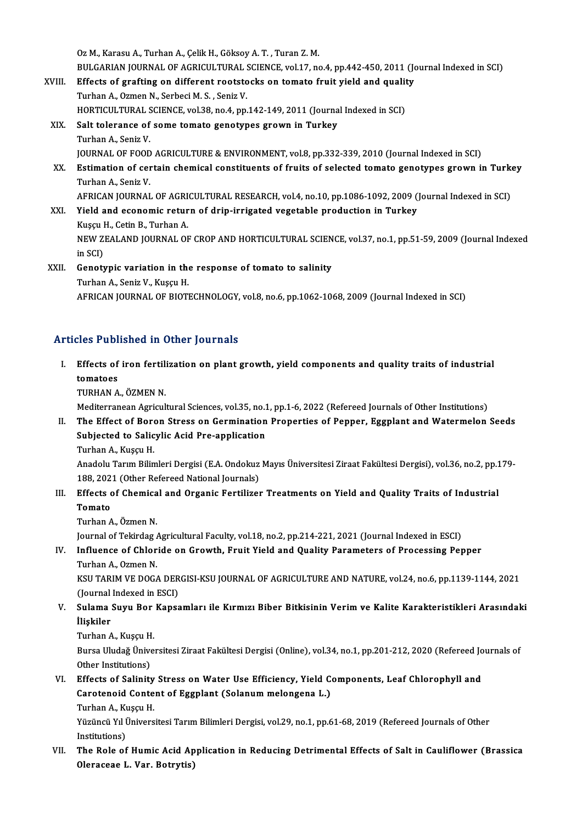OzM.,KarasuA.,TurhanA.,ÇelikH.,GöksoyA.T. ,TuranZ.M.

Oz M., Karasu A., Turhan A., Çelik H., Göksoy A. T. , Turan Z. M.<br>BULGARIAN JOURNAL OF AGRICULTURAL SCIENCE, vol.17, no.4, pp.442-450, 2011 (Journal Indexed in SCI)<br>Effects of grafting on different restatesks on temate fru

- Oz M., Karasu A., Turhan A., Çelik H., Göksoy A. T. , Turan Z. M.<br>BULGARIAN JOURNAL OF AGRICULTURAL SCIENCE, vol.17, no.4, pp.442-450, 2011 (Journal and puality and puality and puality and all and quality and and puality a BULGARIAN JOURNAL OF AGRICULTURAL :<br>Effects of grafting on different rootsto<br>Turhan A., Ozmen N., Serbeci M. S. , Seniz V.<br>HOPTICULTURAL SCIENCE vol 29 no 4 nn Effects of grafting on different rootstocks on tomato fruit yield and qualit<br>Turhan A., Ozmen N., Serbeci M. S. , Seniz V.<br>HORTICULTURAL SCIENCE, vol.38, no.4, pp.142-149, 2011 (Journal Indexed in SCI)<br>Salt televance of so Turhan A., Ozmen N., Serbeci M. S. , Seniz V.<br>HORTICULTURAL SCIENCE, vol.38, no.4, pp.142-149, 2011 (Journa<br>XIX. Salt tolerance of some tomato genotypes grown in Turkey<br>Turhan A., Seniz V.
	- HORTICULTURAL S<br>Salt tolerance of<br>Turhan A., Seniz V.<br>JOUPNAL OF FOOD JOURNAL OF FOOD AGRICULTURE & ENVIRONMENT, vol.8, pp.332-339, 2010 (Journal Indexed in SCI) Turhan A., Seniz V.<br>JOURNAL OF FOOD AGRICULTURE & ENVIRONMENT, vol.8, pp.332-339, 2010 (Journal Indexed in SCI)<br>XX. Estimation of certain chemical constituents of fruits of selected tomato genotypes grown in Turkey<br>Tur **JOURNAL OF FOOD**<br>**Estimation of cer**<br>Turhan A., Seniz V.<br>AEPICAN JOUPNAL Estimation of certain chemical constituents of fruits of selected tomato genotypes grown in Turk<br>Turhan A., Seniz V.<br>AFRICAN JOURNAL OF AGRICULTURAL RESEARCH, vol.4, no.10, pp.1086-1092, 2009 (Journal Indexed in SCI)<br>Vield Turhan A., Seniz V.<br>AFRICAN JOURNAL OF AGRICULTURAL RESEARCH, vol.4, no.10, pp.1086-1092, 2009 (<br>XXI. Yield and economic return of drip-irrigated vegetable production in Turkey
- AFRICAN JOURNAL OF AGRI<br>Yield and economic retur<br>Kuşçu H., Cetin B., Turhan A.<br>NEW 7EALAND JOURNAL OF Yield and economic return of drip-irrigated vegetable production in Turkey<br>Kuşçu H., Cetin B., Turhan A.<br>NEW ZEALAND JOURNAL OF CROP AND HORTICULTURAL SCIENCE, vol.37, no.1, pp.51-59, 2009 (Journal Indexed<br>in SCD Kuşçu I<br>NEW Z<br>in SCI)<br>Canatı NEW ZEALAND JOURNAL OF CROP AND HORTICULTURAL SCIEN<br>in SCI)<br>XXII. Genotypic variation in the response of tomato to salinity<br>Turken A. Sonis V. Kuseu H
- in SCI)<br>Genotypic variation in the<br>Turhan A., Seniz V., Kuşçu H.<br>AERICAN IOURNAL OF PIOTI Turhan A., Seniz V., Kuşçu H.<br>AFRICAN JOURNAL OF BIOTECHNOLOGY, vol.8, no.6, pp.1062-1068, 2009 (Journal Indexed in SCI)

#### Articles Published in Other Journals

rticles Published in Other Journals<br>I. Effects of iron fertilization on plant growth, yield components and quality traits of industrial<br>tematees Effects of<br>tomatoes<br>TIDHAN A Effects of iron fertil:<br>tomatoes<br>TURHAN A., ÖZMEN N.<br>Mediterranean Asrieul tomatoes<br>TURHAN A., ÖZMEN N.<br>Mediterranean Agricultural Sciences, vol.35, no.1, pp.1-6, 2022 (Refereed Journals of Other Institutions)<br>The Effect of Boron Strees on Cormination Properties of Bonner, Essplant and Watermalan

TURHAN A., ÖZMEN N.<br>Mediterranean Agricultural Sciences, vol.35, no.1, pp.1-6, 2022 (Refereed Journals of Other Institutions)<br>II. The Effect of Boron Stress on Germination Properties of Pepper, Eggplant and Watermelon Seed Mediterranean Agricultural Sciences, vol.35, no.1<br>The Effect of Boron Stress on Germination<br>Subjected to Salicylic Acid Pre-application<br>Turban A. Kussu H The Effect of Bore<br>Subjected to Salic<br>Turhan A., Kuşçu H.<br>Anadolu Tonum Bilin Subjected to Salicylic Acid Pre-application<br>Turhan A., Kuşçu H.<br>Anadolu Tarım Bilimleri Dergisi (E.A. Ondokuz Mayıs Üniversitesi Ziraat Fakültesi Dergisi), vol.36, no.2, pp.179-<br>188, 2021 (Other Refereed National Jeurnale)

Turhan A., Kuşçu H.<br>Anadolu Tarım Bilimleri Dergisi (E.A. Ondokuz<br>188, 2021 (Other Refereed National Journals)<br>Effects of Chamisal and Orsania Fartilizer Anadolu Tarım Bilimleri Dergisi (E.A. Ondokuz Mayıs Üniversitesi Ziraat Fakültesi Dergisi), vol.36, no.2, pp.1<br>188, 2021 (Other Refereed National Journals)<br>III. Effects of Chemical and Organic Fertilizer Treatments on Yiel

188, 2021 (Other Refereed National Journals)<br>Effects of Chemical and Organic Fertilize<br>Tomato<br>Turhan A., Özmen N. III. Effects of Chemical and Organic Fertilizer Treatments on Yield and Quality Traits of Industrial

Journal of Tekirdag Agricultural Faculty, vol.18, no.2, pp.214-221, 2021 (Journal Indexed in ESCI)

Turhan A., Özmen N.<br>Journal of Tekirdag Agricultural Faculty, vol.18, no.2, pp.214-221, 2021 (Journal Indexed in ESCI)<br>IV. Influence of Chloride on Growth, Fruit Yield and Quality Parameters of Processing Pepper<br>Turban A. **Journal of Tekirdag /<br>Influence of Chlor<br>Turhan A., Ozmen N.<br>KSU TARIM VE DOC /** Influence of Chloride on Growth, Fruit Yield and Quality Parameters of Processing Pepper<br>Turhan A., Ozmen N.<br>KSU TARIM VE DOGA DERGISI-KSU JOURNAL OF AGRICULTURE AND NATURE, vol.24, no.6, pp.1139-1144, 2021<br>(Journal Indove

Turhan A., Ozmen N.<br>KSU TARIM VE DOGA DER<br>(Journal Indexed in ESCI)<br>Sulama Suuu Bor Kanss KSU TARIM VE DOGA DERGISI-KSU JOURNAL OF AGRICULTURE AND NATURE, vol.24, no.6, pp.1139-1144, 2021<br>(Journal Indexed in ESCI)<br>V. Sulama Suyu Bor Kapsamları ile Kırmızı Biber Bitkisinin Verim ve Kalite Karakteristikleri Ara

- (Journal)<br>Sulama<br>İlişkiler<br><sup>Turban A</sup> S<mark>ulama Suyu Bor</mark><br>İlişkiler<br>Turhan A., Kuşçu H.<br>Bursa Hudağ Üniya
	-

**İlişkiler**<br>Turhan A., Kuşçu H.<br>Bursa Uludağ Üniversitesi Ziraat Fakültesi Dergisi (Online), vol.34, no.1, pp.201-212, 2020 (Refereed Journals of Turhan A., Kuşçu H<br>Bursa Uludağ Ünive<br>Other Institutions)<br>Effects of Salinitr Bursa Uludağ Üniversitesi Ziraat Fakültesi Dergisi (Online), vol.34, no.1, pp.201-212, 2020 (Refereed Jo<br>Other Institutions)<br>VI. Effects of Salinity Stress on Water Use Efficiency, Yield Components, Leaf Chlorophyll and<br>Co

Other Institutions)<br>Effects of Salinity Stress on Water Use Efficiency, Yield Content of Eggplant (Solanum melongena L.)<br>Turban A. Kusau H Effects of Salinity<br>Carotenoid Conte<br>Turhan A., Kuşçu H.<br>Vüzüngü Vu Ünivere Carotenoid Content of Eggplant (Solanum melongena L.)<br>Turhan A., Kuşçu H.<br>Yüzüncü Yıl Üniversitesi Tarım Bilimleri Dergisi, vol.29, no.1, pp.61-68, 2019 (Refereed Journals of Other<br>Institutione)

Turhan A., Kı<br>Yüzüncü Yıl İ<br>Institutions)<br>The Pole of Yüzüncü Yıl Üniversitesi Tarım Bilimleri Dergisi, vol.29, no.1, pp.61-68, 2019 (Refereed Journals of Other<br>Institutions)<br>VII. The Role of Humic Acid Application in Reducing Detrimental Effects of Salt in Cauliflower (Brass

Institutions)<br>The Role of Humic Acid Ap<br>Oleraceae L. Var. Botrytis)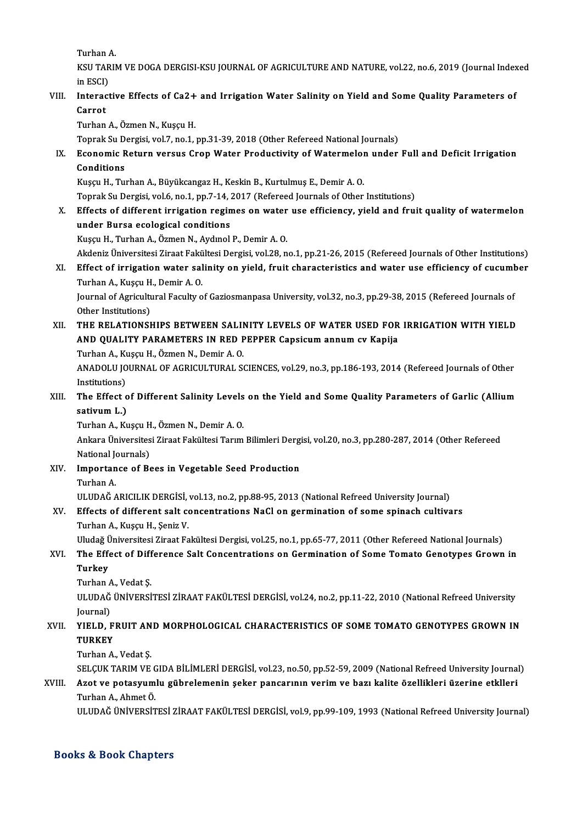TurhanA.

Turhan A.<br>KSU TARIM VE DOGA DERGISI-KSU JOURNAL OF AGRICULTURE AND NATURE, vol.22, no.6, 2019 (Journal Indexed<br>in ESCD Turhan<br>KSU TAR<br>in ESCI)<br>Interest KSU TARIM VE DOGA DERGISI-KSU JOURNAL OF AGRICULTURE AND NATURE, vol.22, no.6, 2019 (Journal Index<br>in ESCI)<br>VIII. Interactive Effects of Ca2+ and Irrigation Water Salinity on Yield and Some Quality Parameters of

in ESCI)<br>Interac<br>Carrot<br>Turban Interactive Effects of Ca2+<br>Carrot<br>Turhan A., Özmen N., Kuşçu H.<br>Tonrak Su Dergisi vel 7, no.1 : Carrot<br>Turhan A., Özmen N., Kuşçu H.<br>Toprak Su Dergisi, vol.7, no.1, pp.31-39, 2018 (Other Refereed National Journals)<br>Feonomic Poturn versus Cron Water Produstivity of Watermalan under

Turhan A., Özmen N., Kuşçu H.<br>Toprak Su Dergisi, vol.7, no.1, pp.31-39, 2018 (Other Refereed National Journals)<br>IX. Economic Return versus Crop Water Productivity of Watermelon under Full and Deficit Irrigation<br>Conditi Toprak Su D<br><mark>Economic F</mark><br>Conditions<br>Kusay H. Tu Economic Return versus Crop Water Productivity of Watermelor<br>Conditions<br>Kuşçu H., Turhan A., Büyükcangaz H., Keskin B., Kurtulmuş E., Demir A. O.<br>Tenrak Su Dergisi vel 6 no 1 nn 7 14 2017 (Refereed Jeurnals ef Other Conditions<br>Kuşçu H., Turhan A., Büyükcangaz H., Keskin B., Kurtulmuş E., Demir A. O.<br>Toprak Su Dergisi, vol.6, no.1, pp.7-14, 2017 (Refereed Journals of Other Institutions)<br>Effects of different innisstion regimes on water

Kuşçu H., Turhan A., Büyükcangaz H., Keskin B., Kurtulmuş E., Demir A. O.<br>Toprak Su Dergisi, vol.6, no.1, pp.7-14, 2017 (Refereed Journals of Other Institutions)<br>X. Effects of different irrigation regimes on water use effi Toprak Su Dergisi, vol.6, no.1, pp.7-14, <mark>:</mark><br>Effects of different irrigation regin<br>under Bursa ecological conditions<br><sup>Vuggu</sup> H. Turban A. Özman N. Aydual under Bursa ecological conditions<br>Kuşçu H., Turhan A., Özmen N., Aydmol P., Demir A. O.<br>Akdeniz Üniversitesi Ziraat Fakültesi Dergisi, vol.28, no.1, pp.21-26, 2015 (Refereed Journals of Other Institutions)<br>Effect of innisa

KuşçuH.,TurhanA.,ÖzmenN.,AydınolP.,DemirA.O.

Kuşçu H., Turhan A., Özmen N., Aydınol P., Demir A. O.<br>Akdeniz Üniversitesi Ziraat Fakültesi Dergisi, vol.28, no.1, pp.21-26, 2015 (Refereed Journals of Other Institutions)<br>XI. Effect of irrigation water salinity on yield, Akdeniz Üniversitesi Ziraat Fakü<br>Effect of irrigation water sal<br>Turhan A., Kuşçu H., Demir A. O.<br>Journal of Agricultural Facultu o Effect of irrigation water salinity on yield, fruit characteristics and water use efficiency of cucum<mark>t</mark><br>Turhan A., Kuşçu H., Demir A. O.<br>Journal of Agricultural Faculty of Gaziosmanpasa University, vol.32, no.3, pp.29-38,

Turhan A., Kuşçu H., Demir A. O.<br>Journal of Agricultural Faculty of Gaziosmanpasa University, vol.32, no.3, pp.29-38, 2015 (Refereed Journals of<br>Other Institutions) Journal of Agricultural Faculty of Gaziosmanpasa University, vol.32, no.3, pp.29-38, 2015 (Refereed Journals of<br>Other Institutions)<br>XII. THE RELATIONSHIPS BETWEEN SALINITY LEVELS OF WATER USED FOR IRRIGATION WITH YIELD

Other Institutions)<br>THE RELATIONSHIPS BETWEEN SALINITY LEVELS OF WATER USED FOR<br>AND QUALITY PARAMETERS IN RED PEPPER Capsicum annum cv Kapija<br>Turban A. Kussu H. Özmen N. Demir A O THE RELATIONSHIPS BETWEEN SALIM<br>AND QUALITY PARAMETERS IN RED F<br>Turhan A., Kuşçu H., Özmen N., Demir A. O.<br>ANADOLU JOUPNAL OF ACPICULTURAL SA AND QUALITY PARAMETERS IN RED PEPPER Capsicum annum cv Kapija<br>Turhan A., Kuşçu H., Özmen N., Demir A. O.<br>ANADOLU JOURNAL OF AGRICULTURAL SCIENCES, vol.29, no.3, pp.186-193, 2014 (Refereed Journals of Other<br>Institutions)

Turhan A., Ku<br>ANADOLU JO<br>Institutions)<br>The Effect c ANADOLU JOURNAL OF AGRICULTURAL SCIENCES, vol.29, no.3, pp.186-193, 2014 (Refereed Journals of Other<br>Institutions)<br>XIII. The Effect of Different Salinity Levels on the Yield and Some Quality Parameters of Garlic (Allium<br>ca

Institutions)<br>The Effect o<br>sativum L.)<br>Turban A. Ku The Effect of Different Salinity Levels<br>sativum L.)<br>Turhan A., Kuşçu H., Özmen N., Demir A. O.<br>Ankara Üniversitesi Zireet Fekültesi Tarum **sativum L.)**<br>Turhan A., Kuşçu H., Özmen N., Demir A. O.<br>Ankara Üniversitesi Ziraat Fakültesi Tarım Bilimleri Dergisi, vol.20, no.3, pp.280-287, 2014 (Other Refereed

Turhan A., Kuşçu H., Özmen N., Demir A. O.

National Journals)

XIV. Importance of Bees in Vegetable Seed Production I<mark>mportance of Bees in Vegetable Seed Production</mark><br>Turhan A.<br>ULUDAĞ ARICILIK DERGİSİ, vol.13, no.2, pp.88-95, 2013 (National Refreed University Journal)<br>Effecta of different salt consentratione NeCl en germination of same a

#### XV. Effects of different salt concentrations NaCl on germination of some spinach cultivars ULUDAĞ ARICILIK DERGİSİ,<br><mark>Effects of different salt co</mark><br>Turhan A., Kuşçu H., Şeniz V.<br>Uludağ Üniyansitesi Zinast Fa Effects of different salt concentrations NaCl on germination of some spinach cultivars<br>Turhan A., Kuşçu H., Şeniz V.<br>Uludağ Üniversitesi Ziraat Fakültesi Dergisi, vol.25, no.1, pp.65-77, 2011 (Other Refereed National Journ

### Turhan A., Kuşçu H., Şeniz V.<br>Uludağ Üniversitesi Ziraat Fakültesi Dergisi, vol.25, no.1, pp.65-77, 2011 (Other Refereed National Journals)<br>XVI. The Effect of Difference Salt Concentrations on Germination of Some Tomat Uludağ Ü<br>The Effe<br>Turkey The Effect of Difference Salt Concentrations on Germination of Some Tomato Genotypes Grown in<br>Turkey<br>Turhan A., Vedat Ș.

Turkey<br>Turhan A., Vedat Ş.<br>ULUDAĞ ÜNİVERSİTESİ ZİRAAT FAKÜLTESİ DERGİSİ, vol.24, no.2, pp.11-22, 2010 (National Refreed University Turhan<br><mark>ULUDAĞ</mark><br>Journal)<br>VIELD L ULUDAĞ ÜNIVERSITESI ZIRAAT FAKÜLTESI DERGISI, vol.24, no.2, pp.11-22, 2010 (National Refreed University<br>Journal)<br>XVII. YIELD, FRUIT AND MORPHOLOGICAL CHARACTERISTICS OF SOME TOMATO GENOTYPES GROWN IN

## Journal)<br>YIELD, F<br>TURKEY<br><sup>Turban A</sup> YI<mark>ELD, FRUIT AN<br>TURKEY</mark><br>Turhan A., Vedat Ş.<br>SELCUZ TAPIM VE TURKEY<br>Turhan A., Vedat Ş.<br>SELÇUK TARIM VE GIDA BİLİMLERİ DERGİSİ, vol.23, no.50, pp.52-59, 2009 (National Refreed University Journal)<br>Aret ve natasıyımlu gübrelemenin şeker nangarının yenim ve bazı kelite özellikleri üzer

## Turhan A., Vedat Ş.<br>SELÇUK TARIM VE GIDA BİLİMLERİ DERGİSİ, vol.23, no.50, pp.52-59, 2009 (National Refreed University Journal<br>XVIII. Azot ve potasyumlu gübrelemenin şeker pancarının verim ve bazı kalite özellikleri üz SELÇUK TARIM VE C<br><mark>Azot ve potasyum</mark><br>Turhan A., Ahmet Ö.<br>III UDAČ ÜNİVERSIT

ULUDAĞ ÜNİVERSİTESİ ZİRAAT FAKÜLTESİ DERGİSİ, vol.9, pp.99-109, 1993 (National Refreed University Journal)

#### Books&Book Chapters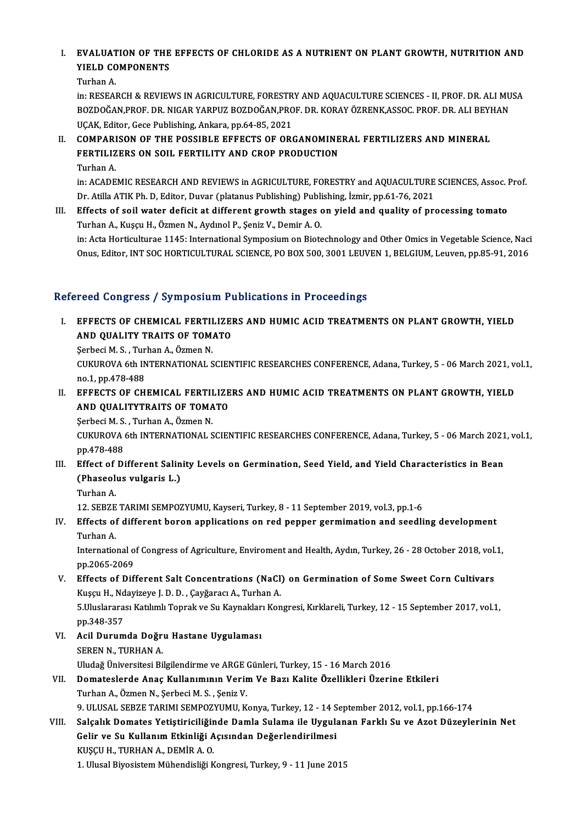## I. EVALUATION OF THE EFFECTS OF CHLORIDE AS A NUTRIENT ON PLANT GROWTH, NUTRITION AND<br>VIELD COMPONENTS EVALUATION OF THE<br>YIELD COMPONENTS<br>Turbon A EVALUAT<br>YIELD CO<br>Turhan A.<br>in: RESEAL

YIELD COMPONENTS<br>Turhan A.<br>in: RESEARCH & REVIEWS IN AGRICULTURE, FORESTRY AND AQUACULTURE SCIENCES - II, PROF. DR. ALI MUSA<br>ROZDOČAN PROE. DR. NICAR VARRIZ ROZDOČAN PROE. DR. KORAV ÖZRENK ASSOC. PROE. DR. ALI REVHAN Turhan A.<br>in: RESEARCH & REVIEWS IN AGRICULTURE, FORESTRY AND AQUACULTURE SCIENCES - II, PROF. DR. ALI MU<br>BOZDOĞAN,PROF. DR. NIGAR YARPUZ BOZDOĞAN,PROF. DR. KORAY ÖZRENK,ASSOC. PROF. DR. ALI BEYHAN<br>UCAK, Editor. Casa Publi BOZDOĞAN,PROF. DR. NIGAR YARPUZ BOZDOĞAN,PROF. DR. KORAY ÖZRENK,ASSOC. PROF. DR. ALI BEYHAN<br>UÇAK, Editor, Gece Publishing, Ankara, pp.64-85, 2021 BOZDOĞAN,PROF. DR. NIGAR YARPUZ BOZDOĞAN,PROF. DR. KORAY ÖZRENK,ASSOC. PROF. DR. ALI BEYI<br>UÇAK, Editor, Gece Publishing, Ankara, pp.64-85, 2021<br>II. COMPARISON OF THE POSSIBLE EFFECTS OF ORGANOMINERAL FERTILIZERS AND MINERA

## UÇAK, Editor, Gece Publishing, Ankara, pp.64-85, 2021<br>COMPARISON OF THE POSSIBLE EFFECTS OF ORGANOMINE<br>FERTILIZERS ON SOIL FERTILITY AND CROP PRODUCTION<br>Turban A COMPARI<br>FERTILIZ<br>Turhan A.<br>in: ACADE FERTILIZERS ON SOIL FERTILITY AND CROP PRODUCTION<br>Turhan A.<br>in: ACADEMIC RESEARCH AND REVIEWS in AGRICULTURE, FORESTRY and AQUACULTURE SCIENCES, Assoc. Prof.<br>Dr. Atilla ATIK Ph. D. Editor Duyar (platanus Publishing) Bublis

Turhan A.<br>in: ACADEMIC RESEARCH AND REVIEWS in AGRICULTURE, FORESTRY and AQUACULTURE<br>Dr. Atilla ATIK Ph. D, Editor, Duvar (platanus Publishing) Publishing, İzmir, pp.61-76, 2021<br>Effects of soil water defisit at different s in: ACADEMIC RESEARCH AND REVIEWS in AGRICULTURE, FORESTRY and AQUACULTURE SCIENCES, Assoc. I<br>Dr. Atilla ATIK Ph. D, Editor, Duvar (platanus Publishing) Publishing, İzmir, pp.61-76, 2021<br>III. Effects of soil water deficit

Dr. Atilla ATIK Ph. D, Editor, Duvar (platanus Publishing) Publishing, İzmir, pp.61-76, 2021<br>III. Effects of soil water deficit at different growth stages on yield and quality of processing tomato<br>Turhan A., Kuşçu H., Özme Effects of soil water deficit at different growth stages on yield and quality of processing tomato<br>Turhan A., Kuşçu H., Özmen N., Aydınol P., Şeniz V., Demir A. O.<br>in: Acta Horticulturae 1145: International Symposium on Bi Turhan A., Kuşçu H., Özmen N., Aydınol P., Şeniz V., Demir A. O.<br>in: Acta Horticulturae 1145: International Symposium on Biotechnology and Other Omics in Vegetable Science, Naci<br>Onus, Editor, INT SOC HORTICULTURAL SCIENCE,

# Onus, Editor, INT SOC HORTICULTURAL SCIENCE, PO BOX 500, 3001 LEUVEN 1, BELGIUM, Leuven, pp.85-91, 2016<br>Refereed Congress / Symposium Publications in Proceedings

efereed Congress / Symposium Publications in Proceedings<br>I. EFFECTS OF CHEMICAL FERTILIZERS AND HUMIC ACID TREATMENTS ON PLANT GROWTH, YIELD<br>AND QUALITY TRAITS OF TOMATO TOOL COM<sub>B</sub>LOOC TO THEODALITY<br>EFFECTS OF CHEMICAL FERTILIZED<br>AND QUALITY TRAITS OF TOMATO EFFECTS OF CHEMICAL FERTII<br>AND QUALITY TRAITS OF TOM.<br>Şerbeci M. S., Turhan A., Özmen N.<br>CUKUROVA <del>6t</del>h INTERNATIONAL S

AND QUALITY TRAITS OF TOMATO<br>Şerbeci M. S. , Turhan A., Özmen N.<br>CUKUROVA 6th INTERNATIONAL SCIENTIFIC RESEARCHES CONFERENCE, Adana, Turkey, 5 - 06 March 2021, vol.1,<br>no.1, nn.479,488 Serbeci M. S. , Tur<br>CUKUROVA 6th IN<br>no.1, pp.478-488<br>EEEECTS OF CH CUKUROVA 6th INTERNATIONAL SCIENTIFIC RESEARCHES CONFERENCE, Adana, Turkey, 5 - 06 March 2021, volto .1, pp.478-488<br>11. EFFECTS OF CHEMICAL FERTILIZERS AND HUMIC ACID TREATMENTS ON PLANT GROWTH, YIELD

no.1, pp.478-488<br>EFFECTS OF CHEMICAL FERTILIZE<br>AND QUALITYTRAITS OF TOMATO<br>Serbesi M.S. Turban A. Özman N EFFECTS OF CHEMICAL FERTII<br>AND QUALITYTRAITS OF TOMA<br>Serbeci M.S., Turhan A., Özmen N.<br>CUKUROVA Eth INTERNATIONAL S

AND QUALITYTRAITS OF TOMATO<br>Serbeci M. S., Turhan A., Özmen N.<br>CUKUROVA 6th INTERNATIONAL SCIENTIFIC RESEARCHES CONFERENCE, Adana, Turkey, 5 - 06 March 2021, vol.1,<br>pp.478-488 Serbeci M. S.<br>CUKUROVA<br>pp.478-488<br>Effect of Di CUKUROVA 6th INTERNATIONAL SCIENTIFIC RESEARCHES CONFERENCE, Adana, Turkey, 5 - 06 March 2021<br>pp.478-488<br>III. Effect of Different Salinity Levels on Germination, Seed Yield, and Yield Characteristics in Bean<br>(Phasealus unl

- pp.478-488<br>Effect of Different Salin<br>(Phaseolus vulgaris L.)<br>Turban A Effect of<br>(Phaseoli<br>Turhan A.<br>12 SERZE (Phaseolus vulgaris L.)<br>Turhan A.<br>12. SEBZE TARIMI SEMPOZYUMU, Kayseri, Turkey, 8 - 11 September 2019, vol.3, pp.1-6<br>Effects of different benen ennlisetions on nod nennen seumimetion and seedli
	-

## Turhan A.<br>12. SEBZE TARIMI SEMPOZYUMU, Kayseri, Turkey, 8 - 11 September 2019, vol.3, pp.1-6<br>IV. Effects of different boron applications on red pepper germimation and seedling development<br>Turhan A. 12. SEBZE<br>Effects of<br>Turhan A.<br>Internation Effects of different boron applications on red pepper germimation and seedling development<br>Turhan A.<br>International of Congress of Agriculture, Enviroment and Health, Aydın, Turkey, 26 - 28 October 2018, vol.1,<br>nn 2065-2069

Turhan A.<br>International o<br>pp.2065-2069<br>Effects of Dif International of Congress of Agriculture, Enviroment and Health, Aydın, Turkey, 26 - 28 October 2018, vol.<br>pp.2065-2069<br>V. Effects of Different Salt Concentrations (NaCl) on Germination of Some Sweet Corn Cultivars<br>Kuscu H

## pp.2065-2069<br>Effects of Different Salt Concentrations (NaCl)<br>Kuşçu H., Ndayizeye J. D. D. , Çayğaracı A., Turhan A.<br>5 Uluslararacı Katılımlı Tonrak ve Su Kaymakları Kon 5. V. Effects of Different Salt Concentrations (NaCl) on Germination of Some Sweet Corn Cultivars<br>Kuşçu H., Ndayizeye J. D. D. , Çayğaracı A., Turhan A.<br>5.Uluslararası Katılımlı Toprak ve Su Kaynakları Kongresi, Kırklareli Kuşçu H., Nd<br>5.Uluslarara<br>pp.348-357<br>Acil Durum

5.Uluslararası Katılımlı Toprak ve Su Kaynaklar<br>pp.348-357<br>VI. Acil Durumda Doğru Hastane Uygulaması<br>SEREN N. TURHAN A pp.348-357<br><mark>Acil Durumda Doğr</mark>ı<br>SEREN N., TURHAN A.<br>Illudağ Üniversitesi Bi SEREN N., TURHAN A.<br>Uludağ Üniversitesi Bilgilendirme ve ARGE Günleri, Turkey, 15 - 16 March 2016

- SEREN N., TURHAN A.<br>Uludağ Üniversitesi Bilgilendirme ve ARGE Günleri, Turkey, 15 16 March 2016<br>VII. Domateslerde Anaç Kullanımının Verim Ve Bazı Kalite Özellikleri Üzerine Etkileri<br>Turban A. Özman N. Sarbesi M. S. Saniz Uludağ Üniversitesi Bilgilendirme ve ARGE (<br>Domateslerde Anaç Kullanımının Verir<br>Turhan A., Özmen N., Şerbeci M. S. , Şeniz V.<br>9. ULUSAL SERZE TARIMI SEMPOZYUMU *V* Turhan A., Özmen N., Şerbeci M. S. , Şeniz V.<br>9. ULUSAL SEBZE TARIMI SEMPOZYUMU, Konya, Turkey, 12 - 14 September 2012, vol.1, pp.166-174
- VIII. Salçalık Domates Yetiştiriciliğinde Damla Sulama ile Uygulanan Farklı Su ve Azot Düzeylerinin Net 9. ULUSAL SEBZE TARIMI SEMPOZYUMU, Konya, Turkey, 12 - 14 S<br>Salçalık Domates Yetiştiriciliğinde Damla Sulama ile Uygula<br>Gelir ve Su Kullanım Etkinliği Açısından Değerlendirilmesi<br>KUSCU H. TURHAN A. DEMİR A. O Salçalık Domates Yetiştiriciliğin<br>Gelir ve Su Kullanım Etkinliği A<br>KUŞÇU H., TURHAN A., DEMİR A. O.<br>1. Ulusel Biyesistem Mühandisliği v Gelir ve Su Kullanım Etkinliği Açısından Değerlendirilmesi<br>KUŞÇU H., TURHAN A., DEMİR A. O.<br>1. Ulusal Biyosistem Mühendisliği Kongresi, Turkey, 9 - 11 June 2015